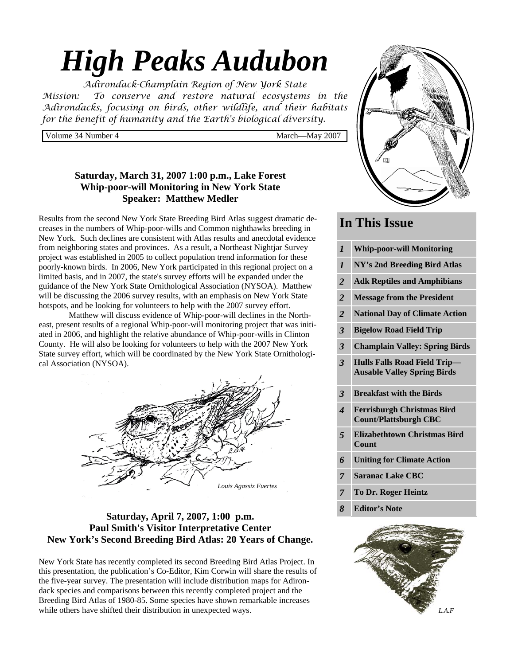# *High Peaks Audubon*

*Adirondack-Champlain Region of New York State Mission: To conserve and restore natural ecosystems in the Adirondacks, focusing on birds, other wildlife, and their habitats for the benefit of humanity and the Earth's biological diversity.* 

Volume 34 Number 4 March—May 2007

# **Saturday, March 31, 2007 1:00 p.m., Lake Forest Whip-poor-will Monitoring in New York State Speaker: Matthew Medler**

Results from the second New York State Breeding Bird Atlas suggest dramatic decreases in the numbers of Whip-poor-wills and Common nighthawks breeding in New York. Such declines are consistent with Atlas results and anecdotal evidence from neighboring states and provinces. As a result, a Northeast Nightjar Survey project was established in 2005 to collect population trend information for these poorly-known birds. In 2006, New York participated in this regional project on a limited basis, and in 2007, the state's survey efforts will be expanded under the guidance of the New York State Ornithological Association (NYSOA). Matthew will be discussing the 2006 survey results, with an emphasis on New York State hotspots, and be looking for volunteers to help with the 2007 survey effort.

 Matthew will discuss evidence of Whip-poor-will declines in the Northeast, present results of a regional Whip-poor-will monitoring project that was initiated in 2006, and highlight the relative abundance of Whip-poor-wills in Clinton County. He will also be looking for volunteers to help with the 2007 New York State survey effort, which will be coordinated by the New York State Ornithological Association (NYSOA).



# **Saturday, April 7, 2007, 1:00 p.m. Paul Smith's Visitor Interpretative Center New York's Second Breeding Bird Atlas: 20 Years of Change.**

New York State has recently completed its second Breeding Bird Atlas Project. In this presentation, the publication's Co-Editor, Kim Corwin will share the results of the five-year survey. The presentation will include distribution maps for Adirondack species and comparisons between this recently completed project and the Breeding Bird Atlas of 1980-85. Some species have shown remarkable increases while others have shifted their distribution in unexpected ways.



# **In This Issue**

| $\boldsymbol{l}$ | <b>Whip-poor-will Monitoring</b>                                          |
|------------------|---------------------------------------------------------------------------|
| $\boldsymbol{l}$ | NY's 2nd Breeding Bird Atlas                                              |
| $\overline{2}$   | <b>Adk Reptiles and Amphibians</b>                                        |
| $\overline{2}$   | <b>Message from the President</b>                                         |
| $\overline{2}$   | <b>National Day of Climate Action</b>                                     |
| 3                | <b>Bigelow Road Field Trip</b>                                            |
| 3                | <b>Champlain Valley: Spring Birds</b>                                     |
| 3                | <b>Hulls Falls Road Field Trip-</b><br><b>Ausable Valley Spring Birds</b> |
|                  |                                                                           |
| 3                | <b>Breakfast with the Birds</b>                                           |
| 4                | <b>Ferrisburgh Christmas Bird</b><br><b>Count/Plattsburgh CBC</b>         |
| 5                | <b>Elizabethtown Christmas Bird</b><br>Count                              |
| 6                | <b>Uniting for Climate Action</b>                                         |
| $\overline{7}$   | <b>Saranac Lake CBC</b>                                                   |
| 7                | <b>To Dr. Roger Heintz</b>                                                |

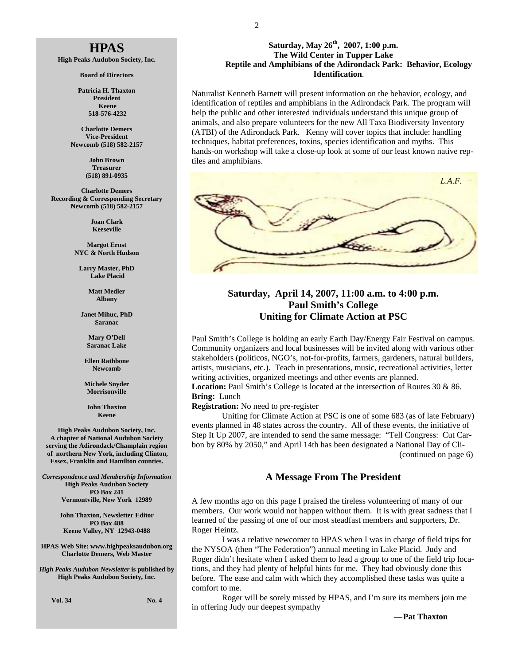# **HPAS**

**High Peaks Audubon Society, Inc.** 

**Board of Directors** 

**Patricia H. Thaxton President Keene 518-576-4232** 

**Charlotte Demers Vice-President Newcomb (518) 582-2157** 

> **John Brown Treasurer (518) 891-0935**

**Charlotte Demers Recording & Corresponding Secretary Newcomb (518) 582-2157** 

> **Joan Clark Keeseville**

**Margot Ernst NYC & North Hudson** 

**Larry Master, PhD Lake Placid** 

> **Matt Medler Albany**

**Janet Mihuc, PhD Saranac** 

> **Mary O'Dell Saranac Lake**

**Ellen Rathbone Newcomb** 

**Michele Snyder Morrisonville** 

**John Thaxton Keene** 

**High Peaks Audubon Society, Inc. A chapter of National Audubon Society serving the Adirondack/Champlain region of northern New York, including Clinton, Essex, Franklin and Hamilton counties.** 

*Correspondence and Membership Information* **High Peaks Audubon Society PO Box 241 Vermontville, New York 12989** 

> **John Thaxton, Newsletter Editor PO Box 488 Keene Valley, NY 12943-0488**

**HPAS Web Site: www.highpeaksaudubon.org Charlotte Demers, Web Master** 

*High Peaks Audubon Newsletter* **is published by High Peaks Audubon Society, Inc.** 

**Vol. 34** No. 4

2

#### **Saturday, May 26th, 2007, 1:00 p.m. The Wild Center in Tupper Lake Reptile and Amphibians of the Adirondack Park: Behavior, Ecology Identification**.

Naturalist Kenneth Barnett will present information on the behavior, ecology, and identification of reptiles and amphibians in the Adirondack Park. The program will help the public and other interested individuals understand this unique group of animals, and also prepare volunteers for the new All Taxa Biodiversity Inventory (ATBI) of the Adirondack Park. Kenny will cover topics that include: handling techniques, habitat preferences, toxins, species identification and myths. This hands-on workshop will take a close-up look at some of our least known native reptiles and amphibians.



### **Saturday, April 14, 2007, 11:00 a.m. to 4:00 p.m. Paul Smith's College Uniting for Climate Action at PSC**

Paul Smith's College is holding an early Earth Day/Energy Fair Festival on campus. Community organizers and local businesses will be invited along with various other stakeholders (politicos, NGO's, not-for-profits, farmers, gardeners, natural builders, artists, musicians, etc.). Teach in presentations, music, recreational activities, letter writing activities, organized meetings and other events are planned.

Location: Paul Smith's College is located at the intersection of Routes 30 & 86. **Bring:** Lunch

#### **Registration:** No need to pre-register

 Uniting for Climate Action at PSC is one of some 683 (as of late February) events planned in 48 states across the country. All of these events, the initiative of Step It Up 2007, are intended to send the same message: "Tell Congress: Cut Carbon by 80% by 2050," and April 14th has been designated a National Day of Cli- (continued on page 6)

#### **A Message From The President**

A few months ago on this page I praised the tireless volunteering of many of our members. Our work would not happen without them. It is with great sadness that I learned of the passing of one of our most steadfast members and supporters, Dr. Roger Heintz.

 I was a relative newcomer to HPAS when I was in charge of field trips for the NYSOA (then "The Federation") annual meeting in Lake Placid. Judy and Roger didn't hesitate when I asked them to lead a group to one of the field trip locations, and they had plenty of helpful hints for me. They had obviously done this before. The ease and calm with which they accomplished these tasks was quite a comfort to me.

 Roger will be sorely missed by HPAS, and I'm sure its members join me in offering Judy our deepest sympathy

— **Pat Thaxton**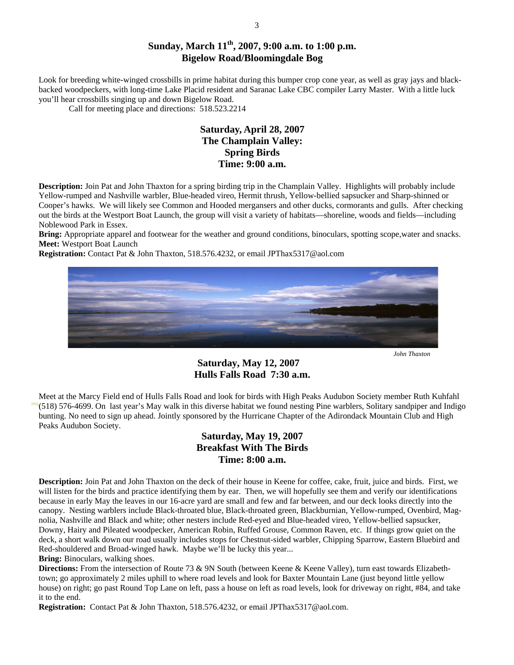# **Sunday, March 11th, 2007, 9:00 a.m. to 1:00 p.m. Bigelow Road/Bloomingdale Bog**

Look for breeding white-winged crossbills in prime habitat during this bumper crop cone year, as well as gray jays and blackbacked woodpeckers, with long-time Lake Placid resident and Saranac Lake CBC compiler Larry Master. With a little luck you'll hear crossbills singing up and down Bigelow Road.

Call for meeting place and directions: 518.523.2214

# **Saturday, April 28, 2007 The Champlain Valley: Spring Birds Time: 9:00 a.m.**

**Description:** Join Pat and John Thaxton for a spring birding trip in the Champlain Valley. Highlights will probably include Yellow-rumped and Nashville warbler, Blue-headed vireo, Hermit thrush, Yellow-bellied sapsucker and Sharp-shinned or Cooper's hawks. We will likely see Common and Hooded mergansers and other ducks, cormorants and gulls. After checking out the birds at the Westport Boat Launch, the group will visit a variety of habitats—shoreline, woods and fields—including Noblewood Park in Essex.

**Bring:** Appropriate apparel and footwear for the weather and ground conditions, binoculars, spotting scope,water and snacks. **Meet:** Westport Boat Launch

**Registration:** Contact Pat & John Thaxton, 518.576.4232, or email JPThax5317@aol.com



 *John Thaxton* 

## **Saturday, May 12, 2007 Hulls Falls Road 7:30 a.m.**

Meet at the Marcy Field end of Hulls Falls Road and look for birds with High Peaks Audubon Society member Ruth Kuhfahl (518) 576-4699. On last year's May walk in this diverse habitat we found nesting Pine warblers, Solitary sandpiper and Indigo bunting. No need to sign up ahead. Jointly sponsored by the Hurricane Chapter of the Adirondack Mountain Club and High Peaks Audubon Society.

# **Saturday, May 19, 2007 Breakfast With The Birds Time: 8:00 a.m.**

**Description:** Join Pat and John Thaxton on the deck of their house in Keene for coffee, cake, fruit, juice and birds. First, we will listen for the birds and practice identifying them by ear. Then, we will hopefully see them and verify our identifications because in early May the leaves in our 16-acre yard are small and few and far between, and our deck looks directly into the canopy. Nesting warblers include Black-throated blue, Black-throated green, Blackburnian, Yellow-rumped, Ovenbird, Magnolia, Nashville and Black and white; other nesters include Red-eyed and Blue-headed vireo, Yellow-bellied sapsucker, Downy, Hairy and Pileated woodpecker, American Robin, Ruffed Grouse, Common Raven, etc. If things grow quiet on the deck, a short walk down our road usually includes stops for Chestnut-sided warbler, Chipping Sparrow, Eastern Bluebird and Red-shouldered and Broad-winged hawk. Maybe we'll be lucky this year...

**Bring:** Binoculars, walking shoes.

**Directions:** From the intersection of Route 73 & 9N South (between Keene & Keene Valley), turn east towards Elizabethtown; go approximately 2 miles uphill to where road levels and look for Baxter Mountain Lane (just beyond little yellow house) on right; go past Round Top Lane on left, pass a house on left as road levels, look for driveway on right, #84, and take it to the end.

**Registration:** Contact Pat & John Thaxton, 518.576.4232, or email JPThax5317@aol.com.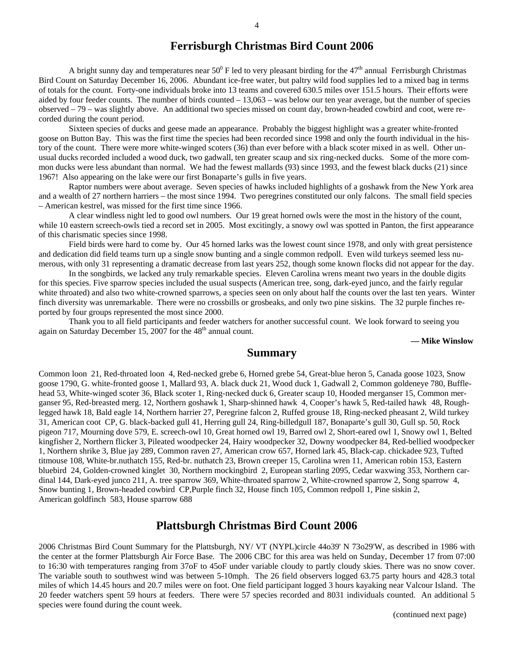# **Ferrisburgh Christmas Bird Count 2006**

A bright sunny day and temperatures near  $50^0$  F led to very pleasant birding for the  $47^{\text{th}}$  annual Ferrisburgh Christmas Bird Count on Saturday December 16, 2006. Abundant ice-free water, but paltry wild food supplies led to a mixed bag in terms of totals for the count. Forty-one individuals broke into 13 teams and covered 630.5 miles over 151.5 hours. Their efforts were aided by four feeder counts. The number of birds counted – 13,063 – was below our ten year average, but the number of species observed – 79 – was slightly above. An additional two species missed on count day, brown-headed cowbird and coot, were recorded during the count period.

Sixteen species of ducks and geese made an appearance. Probably the biggest highlight was a greater white-fronted goose on Button Bay. This was the first time the species had been recorded since 1998 and only the fourth individual in the history of the count. There were more white-winged scoters (36) than ever before with a black scoter mixed in as well. Other unusual ducks recorded included a wood duck, two gadwall, ten greater scaup and six ring-necked ducks. Some of the more common ducks were less abundant than normal. We had the fewest mallards (93) since 1993, and the fewest black ducks (21) since 1967! Also appearing on the lake were our first Bonaparte's gulls in five years.

Raptor numbers were about average. Seven species of hawks included highlights of a goshawk from the New York area and a wealth of 27 northern harriers – the most since 1994. Two peregrines constituted our only falcons. The small field species – American kestrel, was missed for the first time since 1966.

A clear windless night led to good owl numbers. Our 19 great horned owls were the most in the history of the count, while 10 eastern screech-owls tied a record set in 2005. Most excitingly, a snowy owl was spotted in Panton, the first appearance of this charismatic species since 1998.

Field birds were hard to come by. Our 45 horned larks was the lowest count since 1978, and only with great persistence and dedication did field teams turn up a single snow bunting and a single common redpoll. Even wild turkeys seemed less numerous, with only 31 representing a dramatic decrease from last years 252, though some known flocks did not appear for the day.

In the songbirds, we lacked any truly remarkable species. Eleven Carolina wrens meant two years in the double digits for this species. Five sparrow species included the usual suspects (American tree, song, dark-eyed junco, and the fairly regular white throated) and also two white-crowned sparrows, a species seen on only about half the counts over the last ten years. Winter finch diversity was unremarkable. There were no crossbills or grosbeaks, and only two pine siskins. The 32 purple finches reported by four groups represented the most since 2000.

Thank you to all field participants and feeder watchers for another successful count. We look forward to seeing you again on Saturday December  $15$ , 2007 for the  $48<sup>th</sup>$  annual count.

 **— Mike Winslow** 

#### **Summary**

Common loon 21, Red-throated loon 4, Red-necked grebe 6, Horned grebe 54, Great-blue heron 5, Canada goose 1023, Snow goose 1790, G. white-fronted goose 1, Mallard 93, A. black duck 21, Wood duck 1, Gadwall 2, Common goldeneye 780, Bufflehead 53, White-winged scoter 36, Black scoter 1, Ring-necked duck 6, Greater scaup 10, Hooded merganser 15, Common merganser 95, Red-breasted merg. 12, Northern goshawk 1, Sharp-shinned hawk 4, Cooper's hawk 5, Red-tailed hawk 48, Roughlegged hawk 18, Bald eagle 14, Northern harrier 27, Peregrine falcon 2, Ruffed grouse 18, Ring-necked pheasant 2, Wild turkey 31, American coot CP, G. black-backed gull 41, Herring gull 24, Ring-billedgull 187, Bonaparte's gull 30, Gull sp. 50, Rock pigeon 717, Mourning dove 579, E. screech-owl 10, Great horned owl 19, Barred owl 2, Short-eared owl 1, Snowy owl 1, Belted kingfisher 2, Northern flicker 3, Pileated woodpecker 24, Hairy woodpecker 32, Downy woodpecker 84, Red-bellied woodpecker 1, Northern shrike 3, Blue jay 289, Common raven 27, American crow 657, Horned lark 45, Black-cap. chickadee 923, Tufted titmouse 108, White-br.nuthatch 155, Red-br. nuthatch 23, Brown creeper 15, Carolina wren 11, American robin 153, Eastern bluebird 24, Golden-crowned kinglet 30, Northern mockingbird 2, European starling 2095, Cedar waxwing 353, Northern cardinal 144, Dark-eyed junco 211, A. tree sparrow 369, White-throated sparrow 2, White-crowned sparrow 2, Song sparrow 4, Snow bunting 1, Brown-headed cowbird CP,Purple finch 32, House finch 105, Common redpoll 1, Pine siskin 2, American goldfinch 583, House sparrow 688

## **Plattsburgh Christmas Bird Count 2006**

2006 Christmas Bird Count Summary for the Plattsburgh, NY/ VT (NYPL)circle 44o39' N 73o29'W, as described in 1986 with the center at the former Plattsburgh Air Force Base. The 2006 CBC for this area was held on Sunday, December 17 from 07:00 to 16:30 with temperatures ranging from 37oF to 45oF under variable cloudy to partly cloudy skies. There was no snow cover. The variable south to southwest wind was between 5-10mph. The 26 field observers logged 63.75 party hours and 428.3 total miles of which 14.45 hours and 20.7 miles were on foot. One field participant logged 3 hours kayaking near Valcour Island. The 20 feeder watchers spent 59 hours at feeders. There were 57 species recorded and 8031 individuals counted. An additional 5 species were found during the count week.

(continued next page)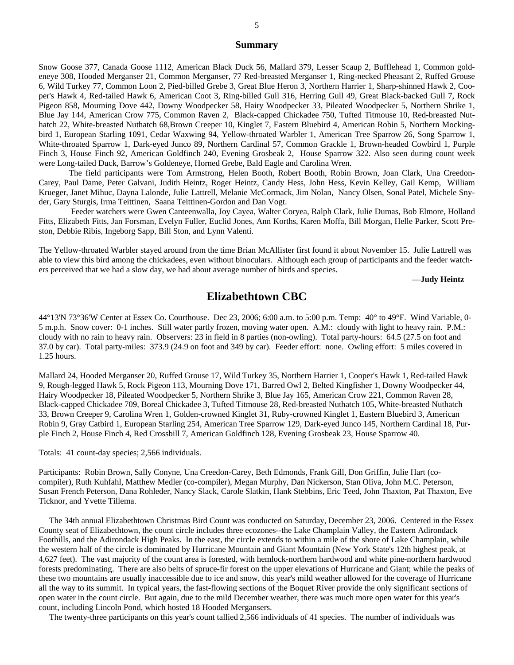#### **Summary**

Snow Goose 377, Canada Goose 1112, American Black Duck 56, Mallard 379, Lesser Scaup 2, Bufflehead 1, Common goldeneye 308, Hooded Merganser 21, Common Merganser, 77 Red-breasted Merganser 1, Ring-necked Pheasant 2, Ruffed Grouse 6, Wild Turkey 77, Common Loon 2, Pied-billed Grebe 3, Great Blue Heron 3, Northern Harrier 1, Sharp-shinned Hawk 2, Cooper's Hawk 4, Red-tailed Hawk 6, American Coot 3, Ring-billed Gull 316, Herring Gull 49, Great Black-backed Gull 7, Rock Pigeon 858, Mourning Dove 442, Downy Woodpecker 58, Hairy Woodpecker 33, Pileated Woodpecker 5, Northern Shrike 1, Blue Jay 144, American Crow 775, Common Raven 2, Black-capped Chickadee 750, Tufted Titmouse 10, Red-breasted Nuthatch 22, White-breasted Nuthatch 68,Brown Creeper 10, Kinglet 7, Eastern Bluebird 4, American Robin 5, Northern Mockingbird 1, European Starling 1091, Cedar Waxwing 94, Yellow-throated Warbler 1, American Tree Sparrow 26, Song Sparrow 1, White-throated Sparrow 1, Dark-eyed Junco 89, Northern Cardinal 57, Common Grackle 1, Brown-headed Cowbird 1, Purple Finch 3, House Finch 92, American Goldfinch 240, Evening Grosbeak 2, House Sparrow 322. Also seen during count week were Long-tailed Duck, Barrow's Goldeneye, Horned Grebe, Bald Eagle and Carolina Wren.

 The field participants were Tom Armstrong, Helen Booth, Robert Booth, Robin Brown, Joan Clark, Una Creedon-Carey, Paul Dame, Peter Galvani, Judith Heintz, Roger Heintz, Candy Hess, John Hess, Kevin Kelley, Gail Kemp, William Krueger, Janet Mihuc, Dayna Lalonde, Julie Lattrell, Melanie McCormack, Jim Nolan, Nancy Olsen, Sonal Patel, Michele Snyder, Gary Sturgis, Irma Teittinen, Saana Teittinen-Gordon and Dan Vogt.

 Feeder watchers were Gwen Canteenwalla, Joy Cayea, Walter Coryea, Ralph Clark, Julie Dumas, Bob Elmore, Holland Fitts, Elizabeth Fitts, Jan Forsman, Evelyn Fuller, Euclid Jones, Ann Korths, Karen Moffa, Bill Morgan, Helle Parker, Scott Preston, Debbie Ribis, Ingeborg Sapp, Bill Ston, and Lynn Valenti.

The Yellow-throated Warbler stayed around from the time Brian McAllister first found it about November 15. Julie Lattrell was able to view this bird among the chickadees, even without binoculars. Although each group of participants and the feeder watchers perceived that we had a slow day, we had about average number of birds and species.

**—Judy Heintz**

## **Elizabethtown CBC**

44°13'N 73°36'W Center at Essex Co. Courthouse. Dec 23, 2006; 6:00 a.m. to 5:00 p.m. Temp: 40° to 49°F. Wind Variable, 0- 5 m.p.h. Snow cover: 0-1 inches. Still water partly frozen, moving water open. A.M.: cloudy with light to heavy rain. P.M.: cloudy with no rain to heavy rain. Observers: 23 in field in 8 parties (non-owling). Total party-hours: 64.5 (27.5 on foot and 37.0 by car). Total party-miles: 373.9 (24.9 on foot and 349 by car). Feeder effort: none. Owling effort: 5 miles covered in 1.25 hours.

Mallard 24, Hooded Merganser 20, Ruffed Grouse 17, Wild Turkey 35, Northern Harrier 1, Cooper's Hawk 1, Red-tailed Hawk 9, Rough-legged Hawk 5, Rock Pigeon 113, Mourning Dove 171, Barred Owl 2, Belted Kingfisher 1, Downy Woodpecker 44, Hairy Woodpecker 18, Pileated Woodpecker 5, Northern Shrike 3, Blue Jay 165, American Crow 221, Common Raven 28, Black-capped Chickadee 709, Boreal Chickadee 3, Tufted Titmouse 28, Red-breasted Nuthatch 105, White-breasted Nuthatch 33, Brown Creeper 9, Carolina Wren 1, Golden-crowned Kinglet 31, Ruby-crowned Kinglet 1, Eastern Bluebird 3, American Robin 9, Gray Catbird 1, European Starling 254, American Tree Sparrow 129, Dark-eyed Junco 145, Northern Cardinal 18, Purple Finch 2, House Finch 4, Red Crossbill 7, American Goldfinch 128, Evening Grosbeak 23, House Sparrow 40.

Totals: 41 count-day species; 2,566 individuals.

Participants: Robin Brown, Sally Conyne, Una Creedon-Carey, Beth Edmonds, Frank Gill, Don Griffin, Julie Hart (cocompiler), Ruth Kuhfahl, Matthew Medler (co-compiler), Megan Murphy, Dan Nickerson, Stan Oliva, John M.C. Peterson, Susan French Peterson, Dana Rohleder, Nancy Slack, Carole Slatkin, Hank Stebbins, Eric Teed, John Thaxton, Pat Thaxton, Eve Ticknor, and Yvette Tillema.

 The 34th annual Elizabethtown Christmas Bird Count was conducted on Saturday, December 23, 2006. Centered in the Essex County seat of Elizabethtown, the count circle includes three ecozones--the Lake Champlain Valley, the Eastern Adirondack Foothills, and the Adirondack High Peaks. In the east, the circle extends to within a mile of the shore of Lake Champlain, while the western half of the circle is dominated by Hurricane Mountain and Giant Mountain (New York State's 12th highest peak, at 4,627 feet). The vast majority of the count area is forested, with hemlock-northern hardwood and white pine-northern hardwood forests predominating. There are also belts of spruce-fir forest on the upper elevations of Hurricane and Giant; while the peaks of these two mountains are usually inaccessible due to ice and snow, this year's mild weather allowed for the coverage of Hurricane all the way to its summit. In typical years, the fast-flowing sections of the Boquet River provide the only significant sections of open water in the count circle. But again, due to the mild December weather, there was much more open water for this year's count, including Lincoln Pond, which hosted 18 Hooded Mergansers.

The twenty-three participants on this year's count tallied 2,566 individuals of 41 species. The number of individuals was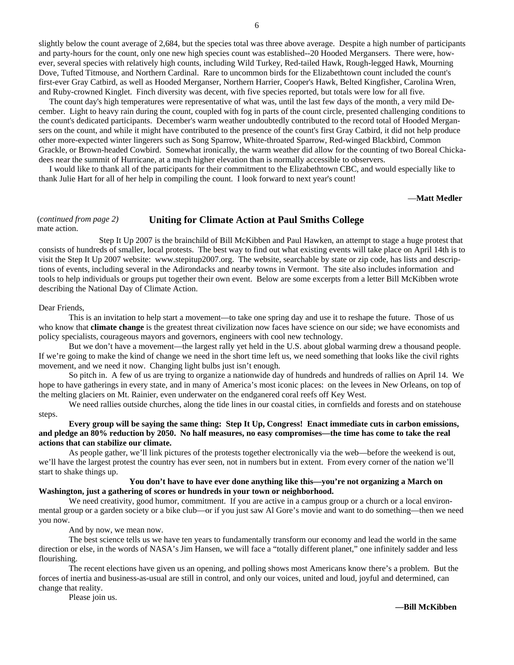slightly below the count average of 2,684, but the species total was three above average. Despite a high number of participants and party-hours for the count, only one new high species count was established--20 Hooded Mergansers. There were, however, several species with relatively high counts, including Wild Turkey, Red-tailed Hawk, Rough-legged Hawk, Mourning Dove, Tufted Titmouse, and Northern Cardinal. Rare to uncommon birds for the Elizabethtown count included the count's first-ever Gray Catbird, as well as Hooded Merganser, Northern Harrier, Cooper's Hawk, Belted Kingfisher, Carolina Wren, and Ruby-crowned Kinglet. Finch diversity was decent, with five species reported, but totals were low for all five.

 The count day's high temperatures were representative of what was, until the last few days of the month, a very mild December. Light to heavy rain during the count, coupled with fog in parts of the count circle, presented challenging conditions to the count's dedicated participants. December's warm weather undoubtedly contributed to the record total of Hooded Mergansers on the count, and while it might have contributed to the presence of the count's first Gray Catbird, it did not help produce other more-expected winter lingerers such as Song Sparrow, White-throated Sparrow, Red-winged Blackbird, Common Grackle, or Brown-headed Cowbird. Somewhat ironically, the warm weather did allow for the counting of two Boreal Chickadees near the summit of Hurricane, at a much higher elevation than is normally accessible to observers.

 I would like to thank all of the participants for their commitment to the Elizabethtown CBC, and would especially like to thank Julie Hart for all of her help in compiling the count. I look forward to next year's count!

#### —**Matt Medler**

#### (*continued from page 2)*  (*continued from page 2*) **Uniting for Climate Action at Paul Smiths College** mate action.

 Step It Up 2007 is the brainchild of Bill McKibben and Paul Hawken, an attempt to stage a huge protest that consists of hundreds of smaller, local protests. The best way to find out what existing events will take place on April 14th is to visit the Step It Up 2007 website: www.stepitup2007.org. The website, searchable by state or zip code, has lists and descriptions of events, including several in the Adirondacks and nearby towns in Vermont. The site also includes information and tools to help individuals or groups put together their own event. Below are some excerpts from a letter Bill McKibben wrote describing the National Day of Climate Action.

#### Dear Friends,

 This is an invitation to help start a movement—to take one spring day and use it to reshape the future. Those of us who know that **climate change** is the greatest threat civilization now faces have science on our side; we have economists and policy specialists, courageous mayors and governors, engineers with cool new technology.

 But we don't have a movement—the largest rally yet held in the U.S. about global warming drew a thousand people. If we're going to make the kind of change we need in the short time left us, we need something that looks like the civil rights movement, and we need it now. Changing light bulbs just isn't enough.

 So pitch in. A few of us are trying to organize a nationwide day of hundreds and hundreds of rallies on April 14. We hope to have gatherings in every state, and in many of America's most iconic places: on the levees in New Orleans, on top of the melting glaciers on Mt. Rainier, even underwater on the endganered coral reefs off Key West.

 We need rallies outside churches, along the tide lines in our coastal cities, in cornfields and forests and on statehouse steps.

#### **Every group will be saying the same thing: Step It Up, Congress! Enact immediate cuts in carbon emissions, and pledge an 80% reduction by 2050. No half measures, no easy compromises—the time has come to take the real actions that can stabilize our climate.**

 As people gather, we'll link pictures of the protests together electronically via the web—before the weekend is out, we'll have the largest protest the country has ever seen, not in numbers but in extent. From every corner of the nation we'll start to shake things up.

#### **You don't have to have ever done anything like this—you're not organizing a March on Washington, just a gathering of scores or hundreds in your town or neighborhood.**

We need creativity, good humor, commitment. If you are active in a campus group or a church or a local environmental group or a garden society or a bike club—or if you just saw Al Gore's movie and want to do something—then we need you now.

And by now, we mean now.

 The best science tells us we have ten years to fundamentally transform our economy and lead the world in the same direction or else, in the words of NASA's Jim Hansen, we will face a "totally different planet," one infinitely sadder and less flourishing.

 The recent elections have given us an opening, and polling shows most Americans know there's a problem. But the forces of inertia and business-as-usual are still in control, and only our voices, united and loud, joyful and determined, can change that reality.

Please join us.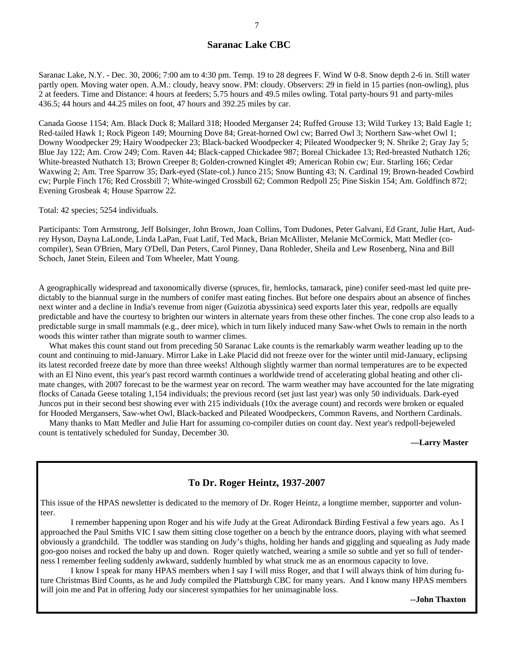#### **Saranac Lake CBC**

Saranac Lake, N.Y. - Dec. 30, 2006; 7:00 am to 4:30 pm. Temp. 19 to 28 degrees F. Wind W 0-8. Snow depth 2-6 in. Still water partly open. Moving water open. A.M.: cloudy, heavy snow. PM: cloudy. Observers: 29 in field in 15 parties (non-owling), plus 2 at feeders. Time and Distance: 4 hours at feeders; 5.75 hours and 49.5 miles owling. Total party-hours 91 and party-miles 436.5; 44 hours and 44.25 miles on foot, 47 hours and 392.25 miles by car.

Canada Goose 1154; Am. Black Duck 8; Mallard 318; Hooded Merganser 24; Ruffed Grouse 13; Wild Turkey 13; Bald Eagle 1; Red-tailed Hawk 1; Rock Pigeon 149; Mourning Dove 84; Great-horned Owl cw; Barred Owl 3; Northern Saw-whet Owl 1; Downy Woodpecker 29; Hairy Woodpecker 23; Black-backed Woodpecker 4; Pileated Woodpecker 9; N. Shrike 2; Gray Jay 5; Blue Jay 122; Am. Crow 249; Com. Raven 44; Black-capped Chickadee 987; Boreal Chickadee 13; Red-breasted Nuthatch 126; White-breasted Nuthatch 13; Brown Creeper 8; Golden-crowned Kinglet 49; American Robin cw; Eur. Starling 166; Cedar Waxwing 2; Am. Tree Sparrow 35; Dark-eyed (Slate-col.) Junco 215; Snow Bunting 43; N. Cardinal 19; Brown-headed Cowbird cw; Purple Finch 176; Red Crossbill 7; White-winged Crossbill 62; Common Redpoll 25; Pine Siskin 154; Am. Goldfinch 872; Evening Grosbeak 4; House Sparrow 22.

Total: 42 species; 5254 individuals.

Participants: Tom Armstrong, Jeff Bolsinger, John Brown, Joan Collins, Tom Dudones, Peter Galvani, Ed Grant, Julie Hart, Audrey Hyson, Dayna LaLonde, Linda LaPan, Fuat Latif, Ted Mack, Brian McAllister, Melanie McCormick, Matt Medler (cocompiler), Sean O'Brien, Mary O'Dell, Dan Peters, Carol Pinney, Dana Rohleder, Sheila and Lew Rosenberg, Nina and Bill Schoch, Janet Stein, Eileen and Tom Wheeler, Matt Young.

A geographically widespread and taxonomically diverse (spruces, fir, hemlocks, tamarack, pine) conifer seed-mast led quite predictably to the biannual surge in the numbers of conifer mast eating finches. But before one despairs about an absence of finches next winter and a decline in India's revenue from niger (Guizotia abyssinica) seed exports later this year, redpolls are equally predictable and have the courtesy to brighten our winters in alternate years from these other finches. The cone crop also leads to a predictable surge in small mammals (e.g., deer mice), which in turn likely induced many Saw-whet Owls to remain in the north woods this winter rather than migrate south to warmer climes.

What makes this count stand out from preceding 50 Saranac Lake counts is the remarkably warm weather leading up to the count and continuing to mid-January. Mirror Lake in Lake Placid did not freeze over for the winter until mid-January, eclipsing its latest recorded freeze date by more than three weeks! Although slightly warmer than normal temperatures are to be expected with an El Nino event, this year's past record warmth continues a worldwide trend of accelerating global heating and other climate changes, with 2007 forecast to be the warmest year on record. The warm weather may have accounted for the late migrating flocks of Canada Geese totaling 1,154 individuals; the previous record (set just last year) was only 50 individuals. Dark-eyed Juncos put in their second best showing ever with 215 individuals (10x the average count) and records were broken or equaled for Hooded Mergansers, Saw-whet Owl, Black-backed and Pileated Woodpeckers, Common Ravens, and Northern Cardinals.

 Many thanks to Matt Medler and Julie Hart for assuming co-compiler duties on count day. Next year's redpoll-bejeweled count is tentatively scheduled for Sunday, December 30.

 **—Larry Master**

#### **To Dr. Roger Heintz, 1937-2007**

This issue of the HPAS newsletter is dedicated to the memory of Dr. Roger Heintz, a longtime member, supporter and volunteer.

 I remember happening upon Roger and his wife Judy at the Great Adirondack Birding Festival a few years ago. As I approached the Paul Smiths VIC I saw them sitting close together on a bench by the entrance doors, playing with what seemed obviously a grandchild. The toddler was standing on Judy's thighs, holding her hands and giggling and squealing as Judy made goo-goo noises and rocked the baby up and down. Roger quietly watched, wearing a smile so subtle and yet so full of tenderness I remember feeling suddenly awkward, suddenly humbled by what struck me as an enormous capacity to love.

 I know I speak for many HPAS members when I say I will miss Roger, and that I will always think of him during future Christmas Bird Counts, as he and Judy compiled the Plattsburgh CBC for many years. And I know many HPAS members will join me and Pat in offering Judy our sincerest sympathies for her unimaginable loss.

**--John Thaxton**